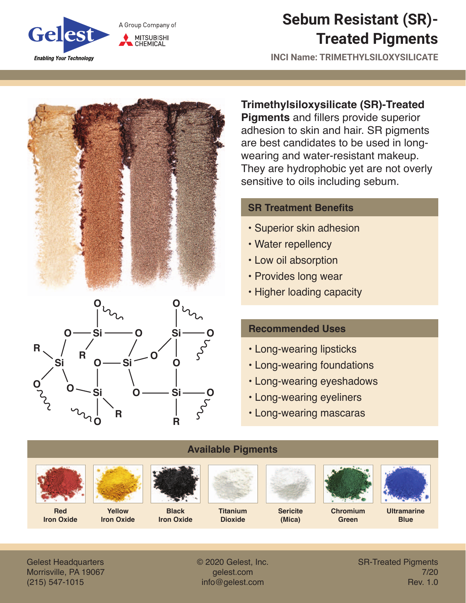

## **Sebum Resistant (SR)- Treated Pigments**

**INCI Name: TRIMETHYLSILOXYSILICATE**





**Trimethylsiloxysilicate (SR)-Treated Pigments** and fillers provide superior adhesion to skin and hair. SR pigments are best candidates to be used in longwearing and water-resistant makeup. They are hydrophobic yet are not overly sensitive to oils including sebum.

## **SR Treatment Benefits**

- Superior skin adhesion
- Water repellency
- Low oil absorption
- Provides long wear
- Higher loading capacity

## **Recommended Uses**

- Long-wearing lipsticks
- Long-wearing foundations
- Long-wearing eyeshadows
- Long-wearing eyeliners
- Long-wearing mascaras



Gelest Headquarters Morrisville, PA 19067 (215) 547-1015

© 2020 Gelest, Inc. gelest.com info@gelest.com

SR-Treated Pigments 7/20 Rev. 1.0